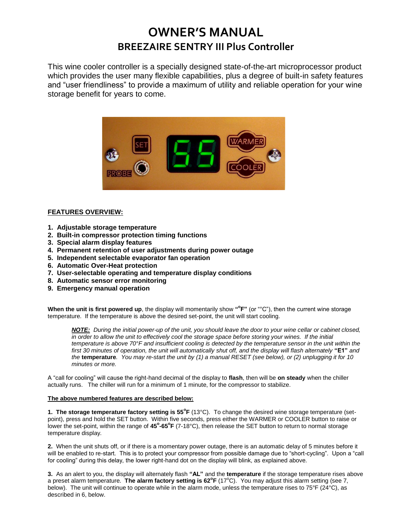## **OWNER'S MANUAL BREEZAIRE SENTRY III Plus Controller**

This wine cooler controller is a specially designed state-of-the-art microprocessor product which provides the user many flexible capabilities, plus a degree of built-in safety features and "user friendliness" to provide a maximum of utility and reliable operation for your wine storage benefit for years to come.



## **FEATURES OVERVIEW:**

- **1. Adjustable storage temperature**
- **2. Built-in compressor protection timing functions**
- **3. Special alarm display features**
- **4. Permanent retention of user adjustments during power outage**
- **5. Independent selectable evaporator fan operation**
- **6. Automatic Over-Heat protection**
- **7. User-selectable operating and temperature display conditions**
- **8. Automatic sensor error monitoring**
- **9. Emergency manual operation**

When the unit is first powered up, the display will momentarily show "<sup>o</sup>F" (or "°C"), then the current wine storage temperature. If the temperature is above the desired set-point, the unit will start cooling.

*NOTE: During the initial power-up of the unit, you should leave the door to your wine cellar or cabinet closed, in order to allow the unit to effectively cool the storage space before storing your wines. If the initial temperature is above 70°F and insufficient cooling is detected by the temperature sensor in the unit within the first 30 minutes of operation, the unit will automatically shut off, and the display will flash alternately* **"E1"** *and the* **temperature***. You may re-start the unit by (1) a manual RESET (see below), or (2) unplugging it for 10 minutes or more.*

A "call for cooling" will cause the right-hand decimal of the display to **flash**, then will be **on steady** when the chiller actually runs. The chiller will run for a minimum of 1 minute, for the compressor to stabilize.

## **The above numbered features are described below:**

**1. The storage temperature factory setting is 55°F** (13°C). To change the desired wine storage temperature (setpoint), press and hold the SET button. Within five seconds, press either the WARMER or COOLER button to raise or lower the set-point, within the range of 45°-65°F (7-18°C), then release the SET button to return to normal storage temperature display.

**2.** When the unit shuts off, or if there is a momentary power outage, there is an automatic delay of 5 minutes before it will be enabled to re-start. This is to protect your compressor from possible damage due to "short-cycling". Upon a "call for cooling" during this delay, the lower right-hand dot on the display will blink, as explained above.

**3.** As an alert to you, the display will alternately flash **"AL"** and the **temperature** if the storage temperature rises above a preset alarm temperature. The alarm factory setting is 62°F (17°C). You may adjust this alarm setting (see 7, below). The unit will continue to operate while in the alarm mode, unless the temperature rises to 75°F (24°C), as described in 6, below.